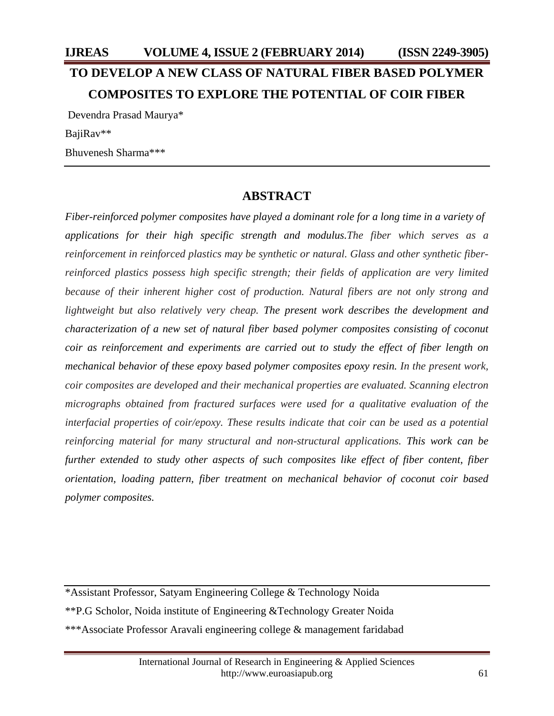# **IJREAS VOLUME 4, ISSUE 2 (FEBRUARY 2014) (ISSN 2249-3905) TO DEVELOP A NEW CLASS OF NATURAL FIBER BASED POLYMER COMPOSITES TO EXPLORE THE POTENTIAL OF COIR FIBER** Devendra Prasad Maurya\*

BajiRav\*\*

Bhuvenesh Sharma\*\*\*

## **ABSTRACT**

*Fiber-reinforced polymer composites have played a dominant role for a long time in a variety of applications for their high specific strength and modulus.The fiber which serves as a reinforcement in reinforced plastics may be synthetic or natural. Glass and other synthetic fiberreinforced plastics possess high specific strength; their fields of application are very limited because of their inherent higher cost of production. Natural fibers are not only strong and lightweight but also relatively very cheap. The present work describes the development and characterization of a new set of natural fiber based polymer composites consisting of coconut coir as reinforcement and experiments are carried out to study the effect of fiber length on mechanical behavior of these epoxy based polymer composites epoxy resin. In the present work, coir composites are developed and their mechanical properties are evaluated. Scanning electron micrographs obtained from fractured surfaces were used for a qualitative evaluation of the interfacial properties of coir/epoxy. These results indicate that coir can be used as a potential reinforcing material for many structural and non-structural applications. This work can be further extended to study other aspects of such composites like effect of fiber content, fiber orientation, loading pattern, fiber treatment on mechanical behavior of coconut coir based polymer composites.* 

\*Assistant Professor, Satyam Engineering College & Technology Noida \*\*P.G Scholor, Noida institute of Engineering &Technology Greater Noida \*\*\*Associate Professor Aravali engineering college & management faridabad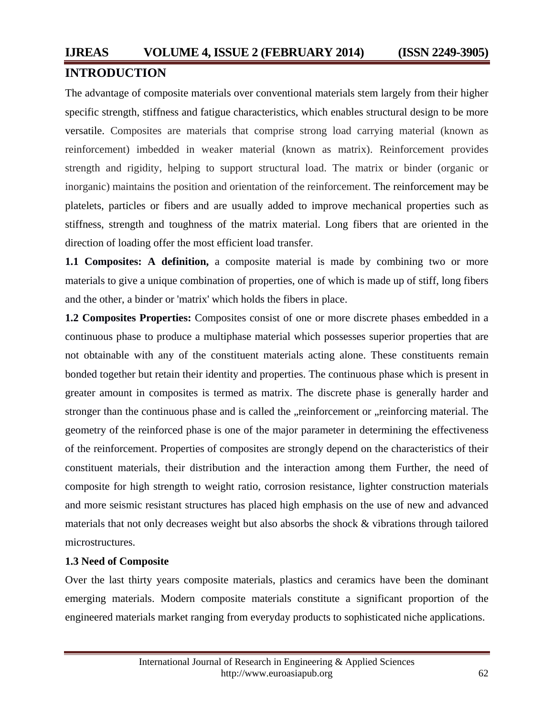## **INTRODUCTION**

The advantage of composite materials over conventional materials stem largely from their higher specific strength, stiffness and fatigue characteristics, which enables structural design to be more versatile. Composites are materials that comprise strong load carrying material (known as reinforcement) imbedded in weaker material (known as matrix). Reinforcement provides strength and rigidity, helping to support structural load. The matrix or binder (organic or inorganic) maintains the position and orientation of the reinforcement. The reinforcement may be platelets, particles or fibers and are usually added to improve mechanical properties such as stiffness, strength and toughness of the matrix material. Long fibers that are oriented in the direction of loading offer the most efficient load transfer.

**1.1 Composites:** A definition, a composite material is made by combining two or more materials to give a unique combination of properties, one of which is made up of stiff, long fibers and the other, a binder or 'matrix' which holds the fibers in place.

**1.2 Composites Properties:** Composites consist of one or more discrete phases embedded in a continuous phase to produce a multiphase material which possesses superior properties that are not obtainable with any of the constituent materials acting alone. These constituents remain bonded together but retain their identity and properties. The continuous phase which is present in greater amount in composites is termed as matrix. The discrete phase is generally harder and stronger than the continuous phase and is called the "reinforcement or "reinforcing material. The geometry of the reinforced phase is one of the major parameter in determining the effectiveness of the reinforcement. Properties of composites are strongly depend on the characteristics of their constituent materials, their distribution and the interaction among them Further, the need of composite for high strength to weight ratio, corrosion resistance, lighter construction materials and more seismic resistant structures has placed high emphasis on the use of new and advanced materials that not only decreases weight but also absorbs the shock & vibrations through tailored microstructures.

## **1.3 Need of Composite**

Over the last thirty years composite materials, plastics and ceramics have been the dominant emerging materials. Modern composite materials constitute a significant proportion of the engineered materials market ranging from everyday products to sophisticated niche applications.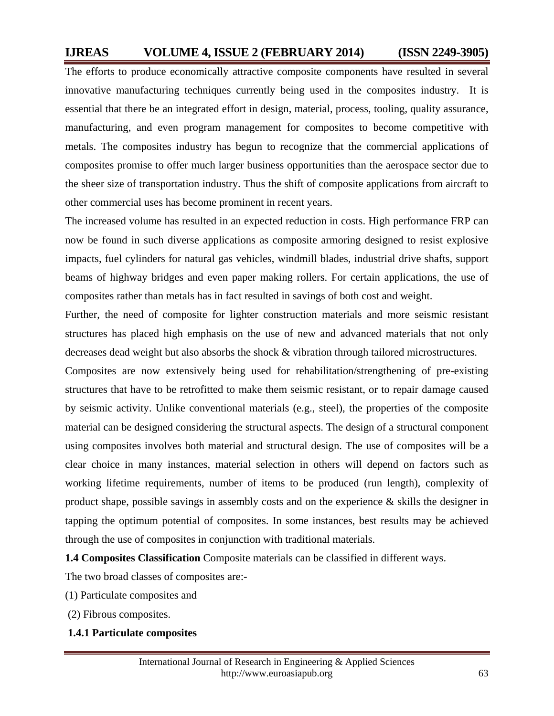The efforts to produce economically attractive composite components have resulted in several innovative manufacturing techniques currently being used in the composites industry. It is essential that there be an integrated effort in design, material, process, tooling, quality assurance, manufacturing, and even program management for composites to become competitive with metals. The composites industry has begun to recognize that the commercial applications of composites promise to offer much larger business opportunities than the aerospace sector due to the sheer size of transportation industry. Thus the shift of composite applications from aircraft to other commercial uses has become prominent in recent years.

The increased volume has resulted in an expected reduction in costs. High performance FRP can now be found in such diverse applications as composite armoring designed to resist explosive impacts, fuel cylinders for natural gas vehicles, windmill blades, industrial drive shafts, support beams of highway bridges and even paper making rollers. For certain applications, the use of composites rather than metals has in fact resulted in savings of both cost and weight.

Further, the need of composite for lighter construction materials and more seismic resistant structures has placed high emphasis on the use of new and advanced materials that not only decreases dead weight but also absorbs the shock & vibration through tailored microstructures.

Composites are now extensively being used for rehabilitation/strengthening of pre-existing structures that have to be retrofitted to make them seismic resistant, or to repair damage caused by seismic activity. Unlike conventional materials (e.g., steel), the properties of the composite material can be designed considering the structural aspects. The design of a structural component using composites involves both material and structural design. The use of composites will be a clear choice in many instances, material selection in others will depend on factors such as working lifetime requirements, number of items to be produced (run length), complexity of product shape, possible savings in assembly costs and on the experience & skills the designer in tapping the optimum potential of composites. In some instances, best results may be achieved through the use of composites in conjunction with traditional materials.

**1.4 Composites Classification** Composite materials can be classified in different ways.

The two broad classes of composites are:-

- (1) Particulate composites and
- (2) Fibrous composites.

#### **1.4.1 Particulate composites**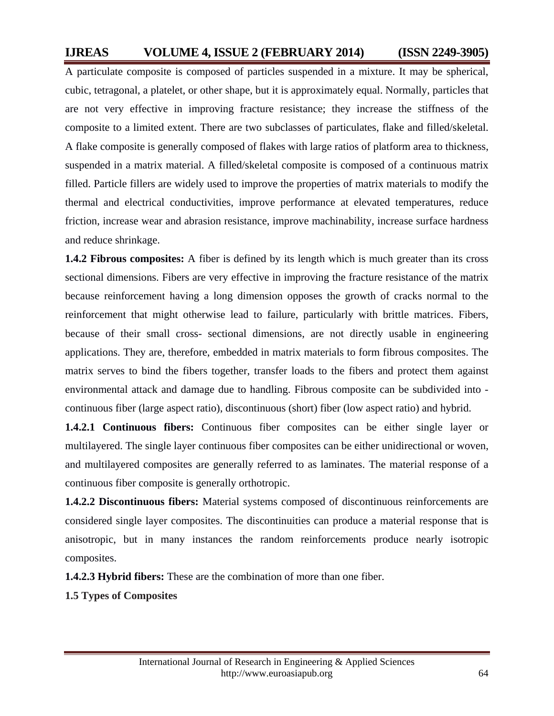A particulate composite is composed of particles suspended in a mixture. It may be spherical, cubic, tetragonal, a platelet, or other shape, but it is approximately equal. Normally, particles that are not very effective in improving fracture resistance; they increase the stiffness of the composite to a limited extent. There are two subclasses of particulates, flake and filled/skeletal. A flake composite is generally composed of flakes with large ratios of platform area to thickness, suspended in a matrix material. A filled/skeletal composite is composed of a continuous matrix filled. Particle fillers are widely used to improve the properties of matrix materials to modify the thermal and electrical conductivities, improve performance at elevated temperatures, reduce friction, increase wear and abrasion resistance, improve machinability, increase surface hardness and reduce shrinkage.

**1.4.2 Fibrous composites:** A fiber is defined by its length which is much greater than its cross sectional dimensions. Fibers are very effective in improving the fracture resistance of the matrix because reinforcement having a long dimension opposes the growth of cracks normal to the reinforcement that might otherwise lead to failure, particularly with brittle matrices. Fibers, because of their small cross- sectional dimensions, are not directly usable in engineering applications. They are, therefore, embedded in matrix materials to form fibrous composites. The matrix serves to bind the fibers together, transfer loads to the fibers and protect them against environmental attack and damage due to handling. Fibrous composite can be subdivided into continuous fiber (large aspect ratio), discontinuous (short) fiber (low aspect ratio) and hybrid.

**1.4.2.1 Continuous fibers:** Continuous fiber composites can be either single layer or multilayered. The single layer continuous fiber composites can be either unidirectional or woven, and multilayered composites are generally referred to as laminates. The material response of a continuous fiber composite is generally orthotropic.

**1.4.2.2 Discontinuous fibers:** Material systems composed of discontinuous reinforcements are considered single layer composites. The discontinuities can produce a material response that is anisotropic, but in many instances the random reinforcements produce nearly isotropic composites.

**1.4.2.3 Hybrid fibers:** These are the combination of more than one fiber.

**1.5 Types of Composites**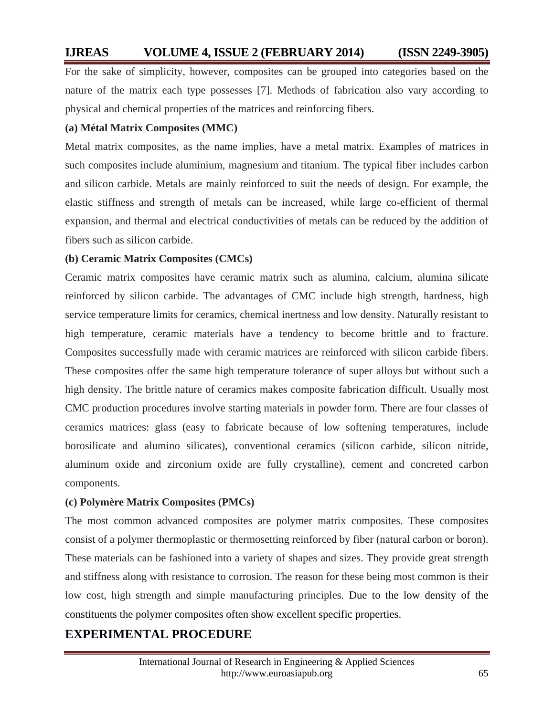For the sake of simplicity, however, composites can be grouped into categories based on the nature of the matrix each type possesses [7]. Methods of fabrication also vary according to physical and chemical properties of the matrices and reinforcing fibers.

#### **(a) Métal Matrix Composites (MMC)**

Metal matrix composites, as the name implies, have a metal matrix. Examples of matrices in such composites include aluminium, magnesium and titanium. The typical fiber includes carbon and silicon carbide. Metals are mainly reinforced to suit the needs of design. For example, the elastic stiffness and strength of metals can be increased, while large co-efficient of thermal expansion, and thermal and electrical conductivities of metals can be reduced by the addition of fibers such as silicon carbide.

#### **(b) Ceramic Matrix Composites (CMCs)**

Ceramic matrix composites have ceramic matrix such as alumina, calcium, alumina silicate reinforced by silicon carbide. The advantages of CMC include high strength, hardness, high service temperature limits for ceramics, chemical inertness and low density. Naturally resistant to high temperature, ceramic materials have a tendency to become brittle and to fracture. Composites successfully made with ceramic matrices are reinforced with silicon carbide fibers. These composites offer the same high temperature tolerance of super alloys but without such a high density. The brittle nature of ceramics makes composite fabrication difficult. Usually most CMC production procedures involve starting materials in powder form. There are four classes of ceramics matrices: glass (easy to fabricate because of low softening temperatures, include borosilicate and alumino silicates), conventional ceramics (silicon carbide, silicon nitride, aluminum oxide and zirconium oxide are fully crystalline), cement and concreted carbon components.

#### **(c) Polymère Matrix Composites (PMCs)**

The most common advanced composites are polymer matrix composites. These composites consist of a polymer thermoplastic or thermosetting reinforced by fiber (natural carbon or boron). These materials can be fashioned into a variety of shapes and sizes. They provide great strength and stiffness along with resistance to corrosion. The reason for these being most common is their low cost, high strength and simple manufacturing principles. Due to the low density of the constituents the polymer composites often show excellent specific properties.

## **EXPERIMENTAL PROCEDURE**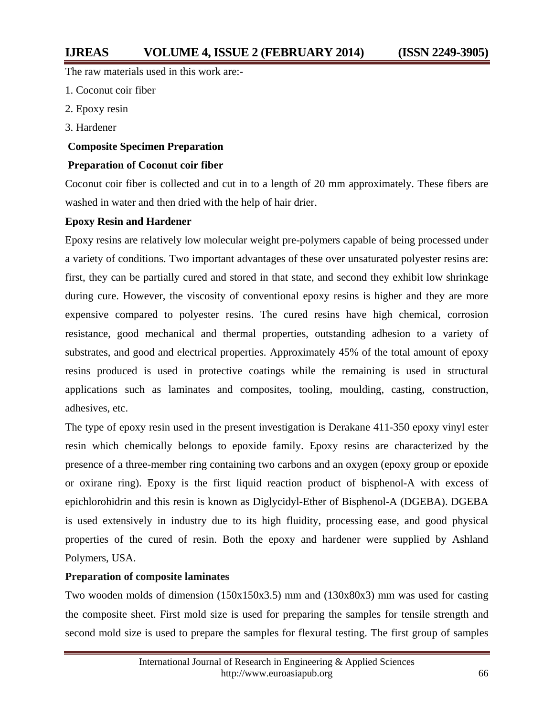The raw materials used in this work are:-

1. Coconut coir fiber

- 2. Epoxy resin
- 3. Hardener

#### **Composite Specimen Preparation**

#### **Preparation of Coconut coir fiber**

Coconut coir fiber is collected and cut in to a length of 20 mm approximately. These fibers are washed in water and then dried with the help of hair drier.

#### **Epoxy Resin and Hardener**

Epoxy resins are relatively low molecular weight pre-polymers capable of being processed under a variety of conditions. Two important advantages of these over unsaturated polyester resins are: first, they can be partially cured and stored in that state, and second they exhibit low shrinkage during cure. However, the viscosity of conventional epoxy resins is higher and they are more expensive compared to polyester resins. The cured resins have high chemical, corrosion resistance, good mechanical and thermal properties, outstanding adhesion to a variety of substrates, and good and electrical properties. Approximately 45% of the total amount of epoxy resins produced is used in protective coatings while the remaining is used in structural applications such as laminates and composites, tooling, moulding, casting, construction, adhesives, etc.

The type of epoxy resin used in the present investigation is Derakane 411-350 epoxy vinyl ester resin which chemically belongs to epoxide family. Epoxy resins are characterized by the presence of a three-member ring containing two carbons and an oxygen (epoxy group or epoxide or oxirane ring). Epoxy is the first liquid reaction product of bisphenol-A with excess of epichlorohidrin and this resin is known as Diglycidyl-Ether of Bisphenol-A (DGEBA). DGEBA is used extensively in industry due to its high fluidity, processing ease, and good physical properties of the cured of resin. Both the epoxy and hardener were supplied by Ashland Polymers, USA.

#### **Preparation of composite laminates**

Two wooden molds of dimension (150x150x3.5) mm and (130x80x3) mm was used for casting the composite sheet. First mold size is used for preparing the samples for tensile strength and second mold size is used to prepare the samples for flexural testing. The first group of samples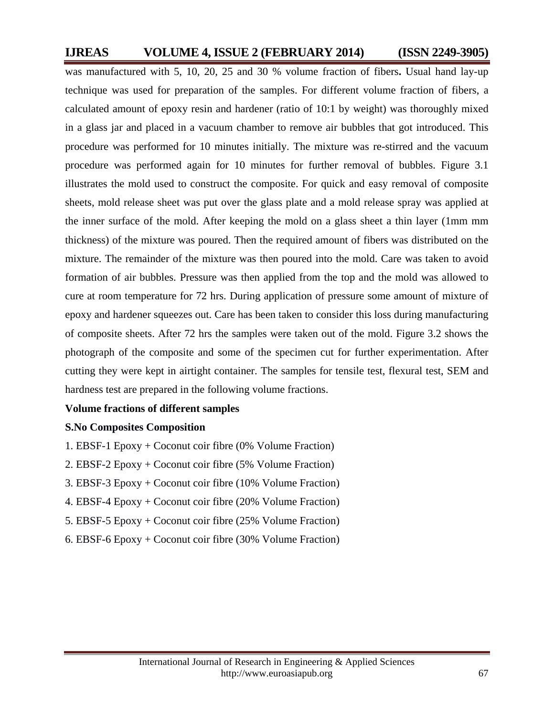was manufactured with 5, 10, 20, 25 and 30 % volume fraction of fibers**.** Usual hand lay-up technique was used for preparation of the samples. For different volume fraction of fibers, a calculated amount of epoxy resin and hardener (ratio of 10:1 by weight) was thoroughly mixed in a glass jar and placed in a vacuum chamber to remove air bubbles that got introduced. This procedure was performed for 10 minutes initially. The mixture was re-stirred and the vacuum procedure was performed again for 10 minutes for further removal of bubbles. Figure 3.1 illustrates the mold used to construct the composite. For quick and easy removal of composite sheets, mold release sheet was put over the glass plate and a mold release spray was applied at the inner surface of the mold. After keeping the mold on a glass sheet a thin layer (1mm mm thickness) of the mixture was poured. Then the required amount of fibers was distributed on the mixture. The remainder of the mixture was then poured into the mold. Care was taken to avoid formation of air bubbles. Pressure was then applied from the top and the mold was allowed to cure at room temperature for 72 hrs. During application of pressure some amount of mixture of epoxy and hardener squeezes out. Care has been taken to consider this loss during manufacturing of composite sheets. After 72 hrs the samples were taken out of the mold. Figure 3.2 shows the photograph of the composite and some of the specimen cut for further experimentation. After cutting they were kept in airtight container. The samples for tensile test, flexural test, SEM and hardness test are prepared in the following volume fractions.

#### **Volume fractions of different samples**

#### **S.No Composites Composition**

- 1. EBSF-1 Epoxy + Coconut coir fibre (0% Volume Fraction)
- 2. EBSF-2 Epoxy + Coconut coir fibre (5% Volume Fraction)
- 3. EBSF-3 Epoxy + Coconut coir fibre (10% Volume Fraction)
- 4. EBSF-4 Epoxy + Coconut coir fibre (20% Volume Fraction)
- 5. EBSF-5 Epoxy + Coconut coir fibre (25% Volume Fraction)
- 6. EBSF-6 Epoxy + Coconut coir fibre (30% Volume Fraction)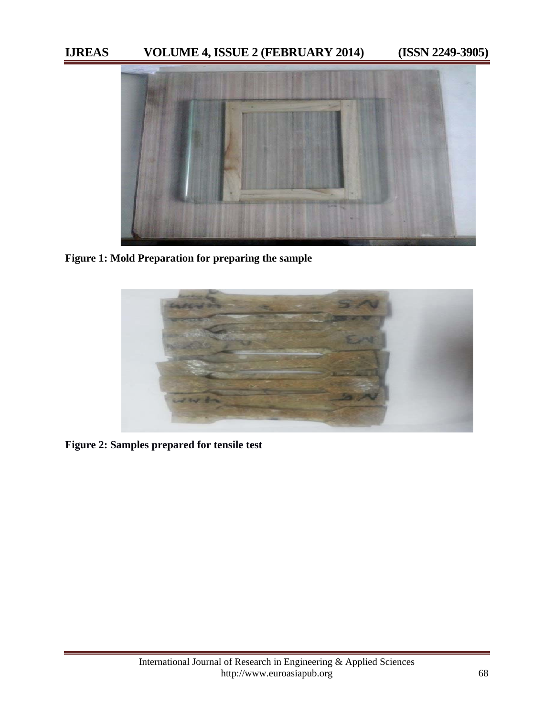

**Figure 1: Mold Preparation for preparing the sample** 



**Figure 2: Samples prepared for tensile test**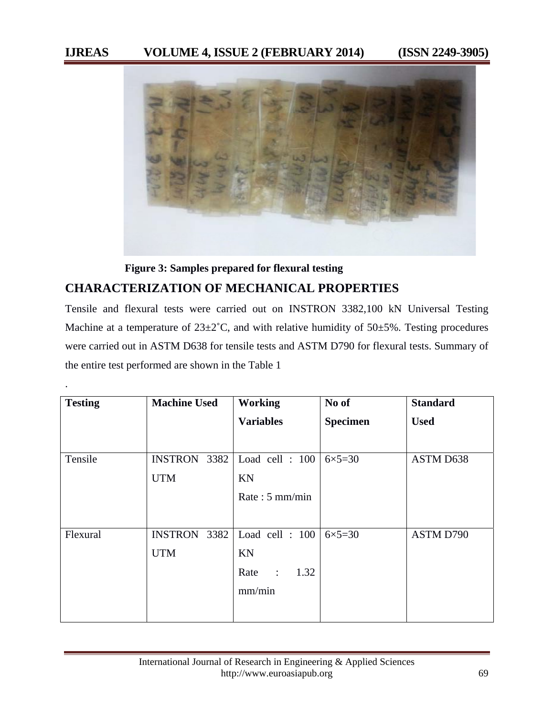

 **Figure 3: Samples prepared for flexural testing** 

## **CHARACTERIZATION OF MECHANICAL PROPERTIES**

.

Tensile and flexural tests were carried out on INSTRON 3382,100 kN Universal Testing Machine at a temperature of  $23\pm2^{\circ}$ C, and with relative humidity of  $50\pm5\%$ . Testing procedures were carried out in ASTM D638 for tensile tests and ASTM D790 for flexural tests. Summary of the entire test performed are shown in the Table 1

| <b>Testing</b> | <b>Machine Used</b>    | <b>Working</b>                 | No of             | <b>Standard</b> |
|----------------|------------------------|--------------------------------|-------------------|-----------------|
|                |                        | <b>Variables</b>               | <b>Specimen</b>   | <b>Used</b>     |
|                |                        |                                |                   |                 |
| Tensile        | 3382<br><b>INSTRON</b> | Load cell : 100                | $6 \times 5 = 30$ | ASTM D638       |
|                | <b>UTM</b>             | KN                             |                   |                 |
|                |                        | Rate: $5 \text{ mm/min}$       |                   |                 |
|                |                        |                                |                   |                 |
| Flexural       | <b>INSTRON</b><br>3382 | Load cell : 100                | $6 \times 5 = 30$ | ASTM D790       |
|                | <b>UTM</b>             | KN                             |                   |                 |
|                |                        | 1.32<br>Rate<br>$\ddot{\cdot}$ |                   |                 |
|                |                        | mm/min                         |                   |                 |
|                |                        |                                |                   |                 |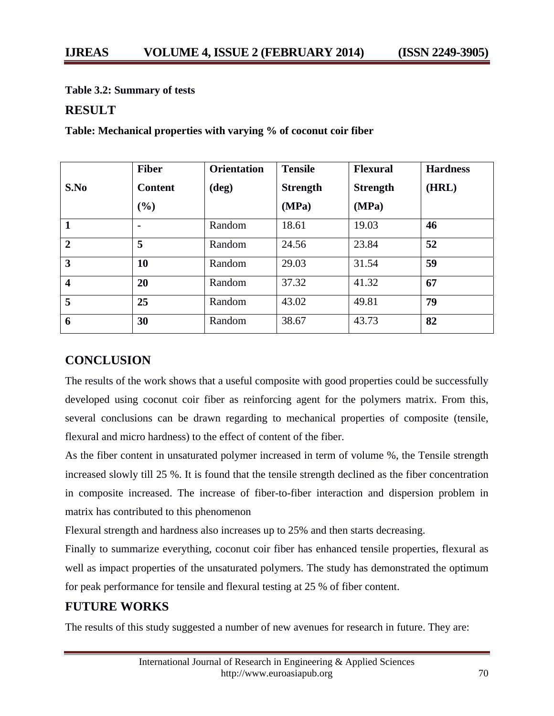**Table 3.2: Summary of tests** 

### **RESULT**

|                         | <b>Fiber</b>   | <b>Orientation</b> | <b>Tensile</b>  | <b>Flexural</b> | <b>Hardness</b> |
|-------------------------|----------------|--------------------|-----------------|-----------------|-----------------|
| S.No                    | <b>Content</b> | $(\text{deg})$     | <b>Strength</b> | <b>Strength</b> | (HRL)           |
|                         | $(\%)$         |                    | (MPa)           | (MPa)           |                 |
| -1                      | $\blacksquare$ | Random             | 18.61           | 19.03           | 46              |
| $\overline{2}$          | 5              | Random             | 24.56           | 23.84           | 52              |
| $\overline{3}$          | 10             | Random             | 29.03           | 31.54           | 59              |
| $\overline{\mathbf{4}}$ | <b>20</b>      | Random             | 37.32           | 41.32           | 67              |
| 5                       | 25             | Random             | 43.02           | 49.81           | 79              |
| 6                       | 30             | Random             | 38.67           | 43.73           | 82              |

**Table: Mechanical properties with varying % of coconut coir fiber** 

## **CONCLUSION**

The results of the work shows that a useful composite with good properties could be successfully developed using coconut coir fiber as reinforcing agent for the polymers matrix. From this, several conclusions can be drawn regarding to mechanical properties of composite (tensile, flexural and micro hardness) to the effect of content of the fiber.

As the fiber content in unsaturated polymer increased in term of volume %, the Tensile strength increased slowly till 25 %. It is found that the tensile strength declined as the fiber concentration in composite increased. The increase of fiber-to-fiber interaction and dispersion problem in matrix has contributed to this phenomenon

Flexural strength and hardness also increases up to 25% and then starts decreasing.

Finally to summarize everything, coconut coir fiber has enhanced tensile properties, flexural as well as impact properties of the unsaturated polymers. The study has demonstrated the optimum for peak performance for tensile and flexural testing at 25 % of fiber content.

## **FUTURE WORKS**

The results of this study suggested a number of new avenues for research in future. They are: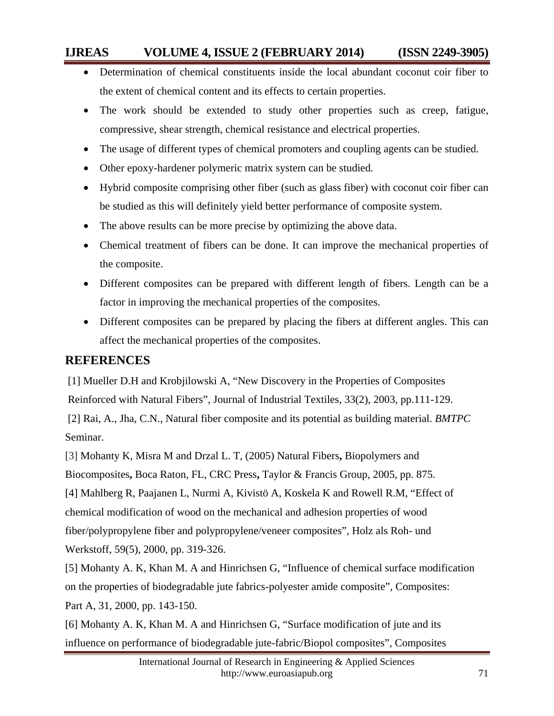- Determination of chemical constituents inside the local abundant coconut coir fiber to the extent of chemical content and its effects to certain properties.
- The work should be extended to study other properties such as creep, fatigue, compressive, shear strength, chemical resistance and electrical properties.
- The usage of different types of chemical promoters and coupling agents can be studied.
- Other epoxy-hardener polymeric matrix system can be studied.
- Hybrid composite comprising other fiber (such as glass fiber) with coconut coir fiber can be studied as this will definitely yield better performance of composite system.
- The above results can be more precise by optimizing the above data.
- Chemical treatment of fibers can be done. It can improve the mechanical properties of the composite.
- Different composites can be prepared with different length of fibers. Length can be a factor in improving the mechanical properties of the composites.
- Different composites can be prepared by placing the fibers at different angles. This can affect the mechanical properties of the composites.

## **REFERENCES**

 [1] Mueller D.H and Krobjilowski A, "New Discovery in the Properties of Composites Reinforced with Natural Fibers", Journal of Industrial Textiles, 33(2), 2003, pp.111-129. [2] Rai, A., Jha, C.N., Natural fiber composite and its potential as building material. *BMTPC*  Seminar.

[3] Mohanty K, Misra M and Drzal L. T, (2005) Natural Fibers**,** Biopolymers and Biocomposites**,** Boca Raton, FL, CRC Press**,** Taylor & Francis Group, 2005, pp. 875. [4] Mahlberg R, Paajanen L, Nurmi A, Kivistö A, Koskela K and Rowell R.M, "Effect of chemical modification of wood on the mechanical and adhesion properties of wood fiber/polypropylene fiber and polypropylene/veneer composites", Holz als Roh- und Werkstoff, 59(5), 2000, pp. 319-326.

[5] Mohanty A. K, Khan M. A and Hinrichsen G, "Influence of chemical surface modification on the properties of biodegradable jute fabrics-polyester amide composite", Composites: Part A, 31, 2000, pp. 143-150.

[6] Mohanty A. K, Khan M. A and Hinrichsen G, "Surface modification of jute and its influence on performance of biodegradable jute-fabric/Biopol composites", Composites